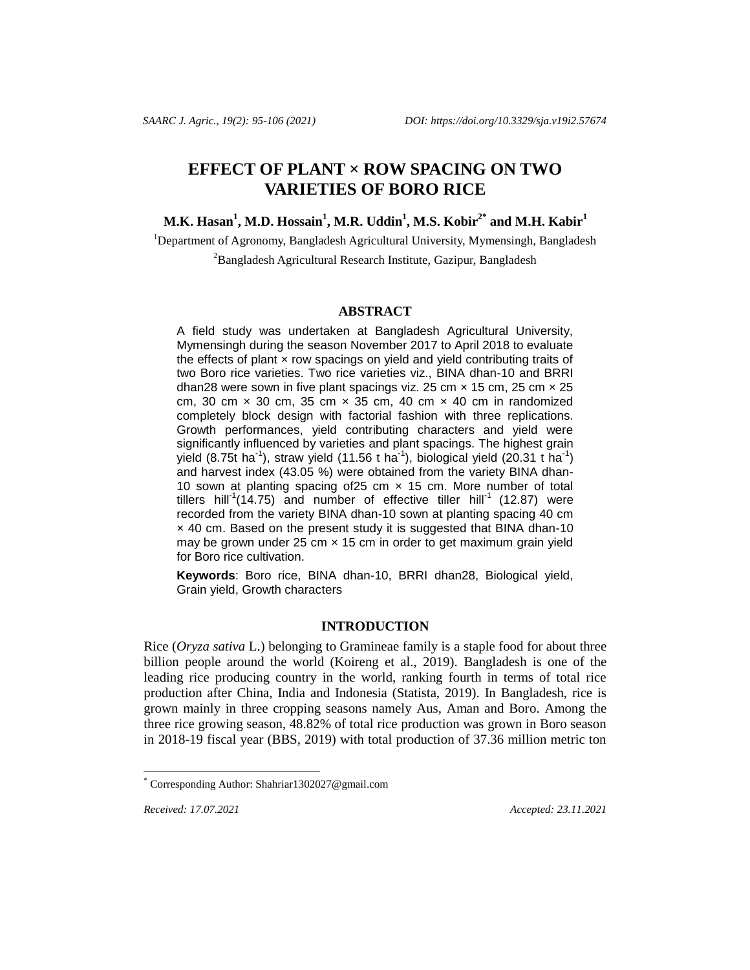# **EFFECT OF PLANT × ROW SPACING ON TWO VARIETIES OF BORO RICE**

# **M.K. Hasan<sup>1</sup> , M.D. Hossain<sup>1</sup> , M.R. Uddin<sup>1</sup> , M.S. Kobir2\* and M.H. Kabir<sup>1</sup>**

<sup>1</sup>Department of Agronomy, Bangladesh Agricultural University, Mymensingh, Bangladesh <sup>2</sup>Bangladesh Agricultural Research Institute, Gazipur, Bangladesh

#### **ABSTRACT**

A field study was undertaken at Bangladesh Agricultural University, Mymensingh during the season November 2017 to April 2018 to evaluate the effects of plant  $\times$  row spacings on yield and yield contributing traits of two Boro rice varieties. Two rice varieties viz., BINA dhan-10 and BRRI dhan28 were sown in five plant spacings viz. 25 cm  $\times$  15 cm, 25 cm  $\times$  25 cm, 30 cm  $\times$  30 cm, 35 cm  $\times$  35 cm, 40 cm  $\times$  40 cm in randomized completely block design with factorial fashion with three replications. Growth performances, yield contributing characters and yield were significantly influenced by varieties and plant spacings. The highest grain yield (8.75t ha<sup>-1</sup>), straw yield (11.56 t ha<sup>-1</sup>), biological yield (20.31 t ha<sup>-1</sup>) and harvest index (43.05 %) were obtained from the variety BINA dhan-10 sown at planting spacing of 25 cm  $\times$  15 cm. More number of total tillers hill<sup>1</sup>(14.75) and number of effective tiller hill<sup>-1</sup> (12.87) were recorded from the variety BINA dhan-10 sown at planting spacing 40 cm × 40 cm. Based on the present study it is suggested that BINA dhan-10 may be grown under 25 cm  $\times$  15 cm in order to get maximum grain yield for Boro rice cultivation.

**Keywords**: Boro rice, BINA dhan-10, BRRI dhan28, Biological yield, Grain yield, Growth characters

# **INTRODUCTION**

Rice (*Oryza sativa* L.) belonging to Gramineae family is a staple food for about three billion people around the world (Koireng et al., 2019). Bangladesh is one of the leading rice producing country in the world, ranking fourth in terms of total rice production after China, India and Indonesia (Statista, 2019). In Bangladesh, rice is grown mainly in three cropping seasons namely Aus, Aman and Boro. Among the three rice growing season, 48.82% of total rice production was grown in Boro season in 2018-19 fiscal year (BBS, 2019) with total production of 37.36 million metric ton

l

*Received: 17.07.2021 Accepted: 23.11.2021*

Corresponding Author[: Shahriar1302027@gmail.com](mailto:Shahriar1302027@gmail.com)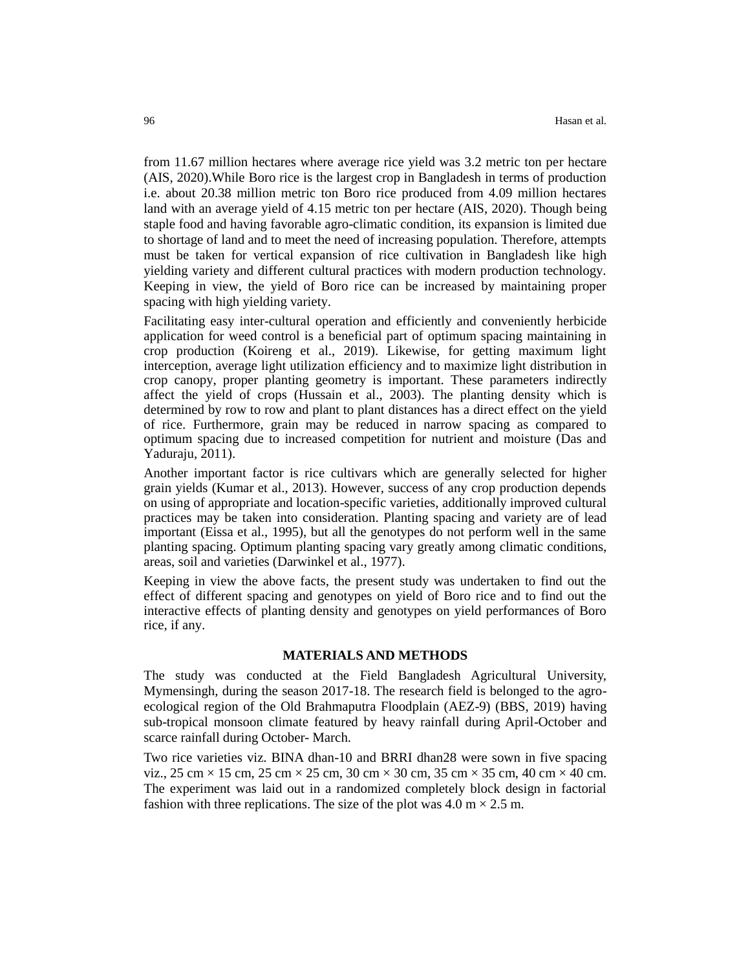from 11.67 million hectares where average rice yield was 3.2 metric ton per hectare (AIS, 2020).While Boro rice is the largest crop in Bangladesh in terms of production i.e. about 20.38 million metric ton Boro rice produced from 4.09 million hectares land with an average yield of 4.15 metric ton per hectare (AIS, 2020). Though being staple food and having favorable agro-climatic condition, its expansion is limited due to shortage of land and to meet the need of increasing population. Therefore, attempts must be taken for vertical expansion of rice cultivation in Bangladesh like high yielding variety and different cultural practices with modern production technology. Keeping in view, the yield of Boro rice can be increased by maintaining proper spacing with high yielding variety.

Facilitating easy inter-cultural operation and efficiently and conveniently herbicide application for weed control is a beneficial part of optimum spacing maintaining in crop production (Koireng et al., 2019). Likewise, for getting maximum light interception, average light utilization efficiency and to maximize light distribution in crop canopy, proper planting geometry is important. These parameters indirectly affect the yield of crops (Hussain et al., 2003). The planting density which is determined by row to row and plant to plant distances has a direct effect on the yield of rice. Furthermore, grain may be reduced in narrow spacing as compared to optimum spacing due to increased competition for nutrient and moisture (Das and Yaduraju, 2011).

Another important factor is rice cultivars which are generally selected for higher grain yields (Kumar et al., 2013). However, success of any crop production depends on using of appropriate and location-specific varieties, additionally improved cultural practices may be taken into consideration. Planting spacing and variety are of lead important (Eissa et al., 1995), but all the genotypes do not perform well in the same planting spacing. Optimum planting spacing vary greatly among climatic conditions, areas, soil and varieties (Darwinkel et al., 1977).

Keeping in view the above facts, the present study was undertaken to find out the effect of different spacing and genotypes on yield of Boro rice and to find out the interactive effects of planting density and genotypes on yield performances of Boro rice, if any.

# **MATERIALS AND METHODS**

The study was conducted at the Field Bangladesh Agricultural University, Mymensingh, during the season 2017-18. The research field is belonged to the agroecological region of the Old Brahmaputra Floodplain (AEZ-9) (BBS, 2019) having sub-tropical monsoon climate featured by heavy rainfall during April-October and scarce rainfall during October- March.

Two rice varieties viz. BINA dhan-10 and BRRI dhan28 were sown in five spacing viz.,  $25 \text{ cm} \times 15 \text{ cm}$ ,  $25 \text{ cm} \times 25 \text{ cm}$ ,  $30 \text{ cm} \times 30 \text{ cm}$ ,  $35 \text{ cm} \times 35 \text{ cm}$ ,  $40 \text{ cm} \times 40 \text{ cm}$ . The experiment was laid out in a randomized completely block design in factorial fashion with three replications. The size of the plot was  $4.0 \text{ m} \times 2.5 \text{ m}$ .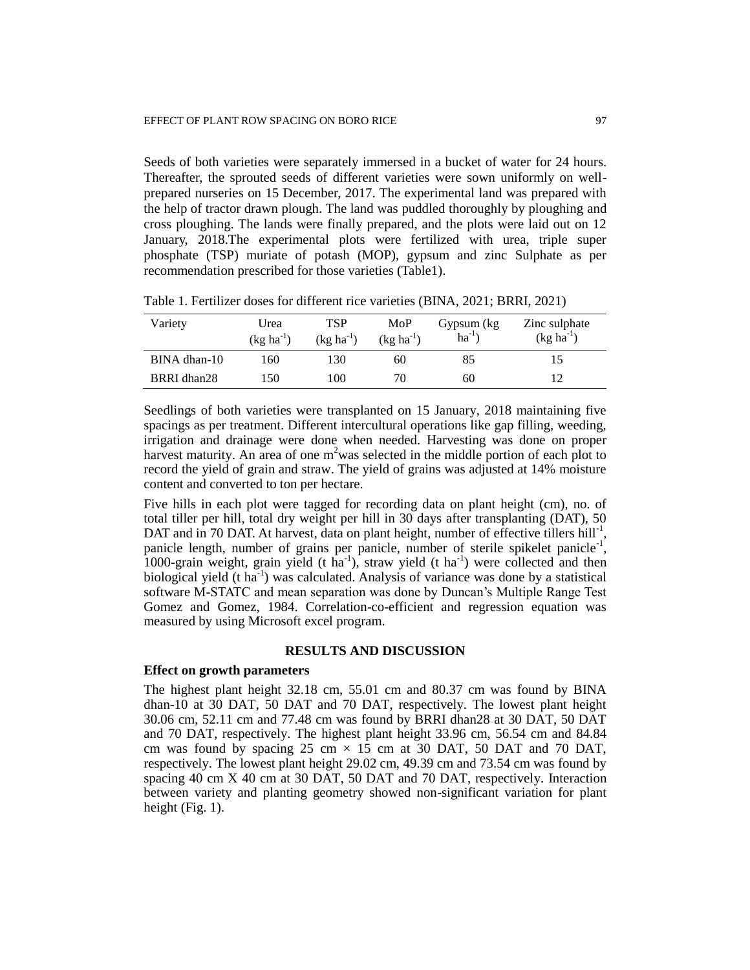Seeds of both varieties were separately immersed in a bucket of water for 24 hours. Thereafter, the sprouted seeds of different varieties were sown uniformly on wellprepared nurseries on 15 December, 2017. The experimental land was prepared with the help of tractor drawn plough. The land was puddled thoroughly by ploughing and cross ploughing. The lands were finally prepared, and the plots were laid out on 12 January, 2018.The experimental plots were fertilized with urea, triple super phosphate (TSP) muriate of potash (MOP), gypsum and zinc Sulphate as per recommendation prescribed for those varieties (Table1).

| Variety      | Urea<br>$(kg ha^{-1})$ | TSP<br>$(kg ha^{-1})$ | MoP<br>$(kg ha^{-1})$ | Gypsum (kg)<br>$ha^{-1}$ | Zinc sulphate<br>$(kg ha^{-1})$ |
|--------------|------------------------|-----------------------|-----------------------|--------------------------|---------------------------------|
| BINA dhan-10 | 160                    | 130                   | 60                    | 85                       |                                 |
| BRRI dhan28  | 150                    | 100                   | 70                    | 60                       |                                 |

Table 1. Fertilizer doses for different rice varieties (BINA, 2021; BRRI, 2021)

Seedlings of both varieties were transplanted on 15 January, 2018 maintaining five spacings as per treatment. Different intercultural operations like gap filling, weeding, irrigation and drainage were done when needed. Harvesting was done on proper harvest maturity. An area of one  $m^2$  was selected in the middle portion of each plot to record the yield of grain and straw. The yield of grains was adjusted at 14% moisture content and converted to ton per hectare.

Five hills in each plot were tagged for recording data on plant height (cm), no. of total tiller per hill, total dry weight per hill in 30 days after transplanting (DAT), 50 DAT and in 70 DAT. At harvest, data on plant height, number of effective tillers hill<sup>-1</sup>, panicle length, number of grains per panicle, number of sterile spikelet panicle<sup>-1</sup>, 1000-grain weight, grain yield (t ha<sup>-1</sup>), straw yield (t ha<sup>-1</sup>) were collected and then biological yield  $(t \text{ ha}^{-1})$  was calculated. Analysis of variance was done by a statistical software M-STATC and mean separation was done by Duncan's Multiple Range Test Gomez and Gomez, 1984. Correlation-co-efficient and regression equation was measured by using Microsoft excel program.

# **RESULTS AND DISCUSSION**

#### **Effect on growth parameters**

The highest plant height 32.18 cm, 55.01 cm and 80.37 cm was found by BINA dhan-10 at 30 DAT, 50 DAT and 70 DAT, respectively. The lowest plant height 30.06 cm, 52.11 cm and 77.48 cm was found by BRRI dhan28 at 30 DAT, 50 DAT and 70 DAT, respectively. The highest plant height 33.96 cm, 56.54 cm and 84.84 cm was found by spacing 25 cm  $\times$  15 cm at 30 DAT, 50 DAT and 70 DAT, respectively. The lowest plant height 29.02 cm, 49.39 cm and 73.54 cm was found by spacing 40 cm X 40 cm at 30 DAT, 50 DAT and 70 DAT, respectively. Interaction between variety and planting geometry showed non-significant variation for plant height (Fig. 1).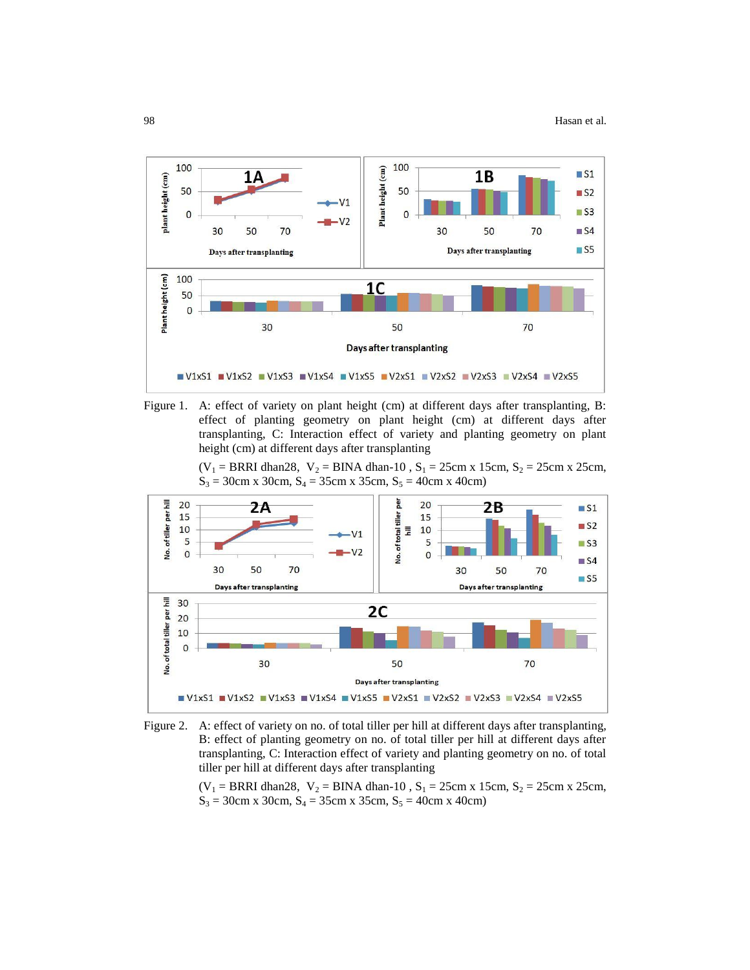



 $(V_1 = BRRI \text{ dhan28}, V_2 = BINA \text{ dhan-10}, S_1 = 25 \text{ cm} \times 15 \text{ cm}, S_2 = 25 \text{ cm} \times 25 \text{ cm},$  $S_3 = 30$ cm x 30cm,  $S_4 = 35$ cm x 35cm,  $S_5 = 40$ cm x 40cm)





 $(V_1 = BRRI \text{ dhan28}, V_2 = BINA \text{ dhan-10}, S_1 = 25 \text{ cm} \times 15 \text{ cm}, S_2 = 25 \text{ cm} \times 25 \text{ cm},$  $S_3 = 30$ cm x 30cm,  $S_4 = 35$ cm x 35cm,  $S_5 = 40$ cm x 40cm)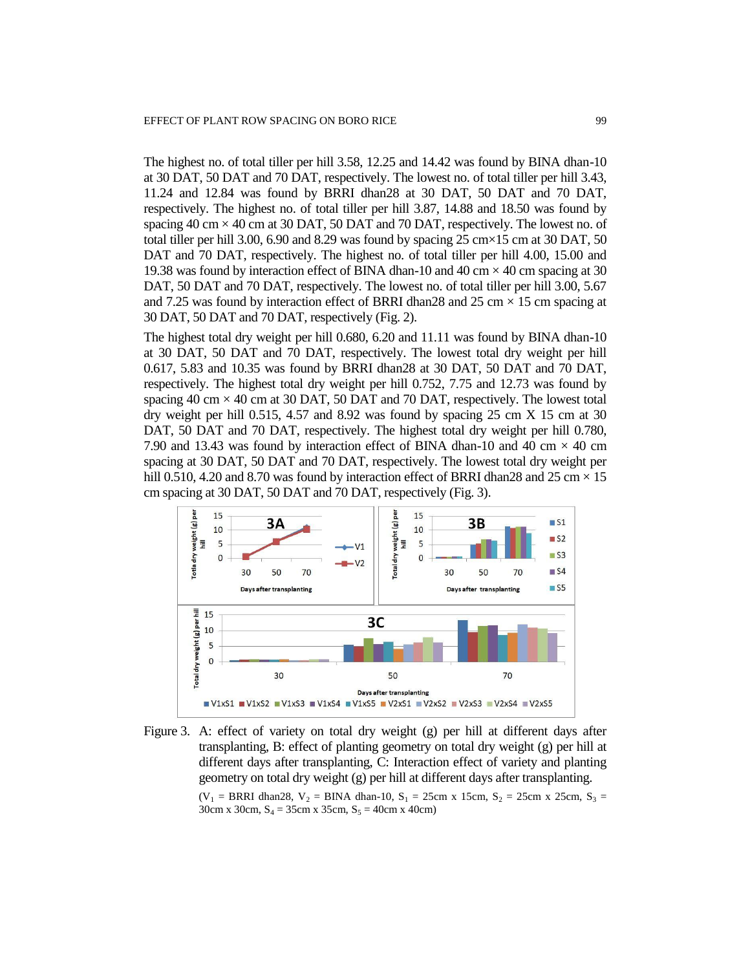The highest no. of total tiller per hill 3.58, 12.25 and 14.42 was found by BINA dhan-10 at 30 DAT, 50 DAT and 70 DAT, respectively. The lowest no. of total tiller per hill 3.43, 11.24 and 12.84 was found by BRRI dhan28 at 30 DAT, 50 DAT and 70 DAT, respectively. The highest no. of total tiller per hill 3.87, 14.88 and 18.50 was found by spacing  $40 \text{ cm} \times 40 \text{ cm}$  at 30 DAT, 50 DAT and 70 DAT, respectively. The lowest no. of total tiller per hill 3.00, 6.90 and 8.29 was found by spacing 25 cm $\times$ 15 cm at 30 DAT, 50 DAT and 70 DAT, respectively. The highest no. of total tiller per hill 4.00, 15.00 and 19.38 was found by interaction effect of BINA dhan-10 and 40 cm  $\times$  40 cm spacing at 30 DAT, 50 DAT and 70 DAT, respectively. The lowest no. of total tiller per hill 3.00, 5.67 and 7.25 was found by interaction effect of BRRI dhan28 and 25 cm  $\times$  15 cm spacing at 30 DAT, 50 DAT and 70 DAT, respectively (Fig. 2).

The highest total dry weight per hill 0.680, 6.20 and 11.11 was found by BINA dhan-10 at 30 DAT, 50 DAT and 70 DAT, respectively. The lowest total dry weight per hill 0.617, 5.83 and 10.35 was found by BRRI dhan28 at 30 DAT, 50 DAT and 70 DAT, respectively. The highest total dry weight per hill 0.752, 7.75 and 12.73 was found by spacing 40 cm  $\times$  40 cm at 30 DAT, 50 DAT and 70 DAT, respectively. The lowest total dry weight per hill 0.515, 4.57 and 8.92 was found by spacing 25 cm X 15 cm at 30 DAT, 50 DAT and 70 DAT, respectively. The highest total dry weight per hill 0.780, 7.90 and 13.43 was found by interaction effect of BINA dhan-10 and 40 cm  $\times$  40 cm spacing at 30 DAT, 50 DAT and 70 DAT, respectively. The lowest total dry weight per hill 0.510, 4.20 and 8.70 was found by interaction effect of BRRI dhan28 and 25 cm  $\times$  15 cm spacing at 30 DAT, 50 DAT and 70 DAT, respectively (Fig. 3).





 $(V_1 = BRRI \text{ dhan28}, V_2 = BINA \text{ dhan-10}, S_1 = 25 \text{ cm} \times 15 \text{ cm}, S_2 = 25 \text{ cm} \times 25 \text{ cm}, S_3 = 25 \text{ cm} \times 25 \text{ cm}$ 30cm x 30cm,  $S_4 = 35$ cm x 35cm,  $S_5 = 40$ cm x 40cm)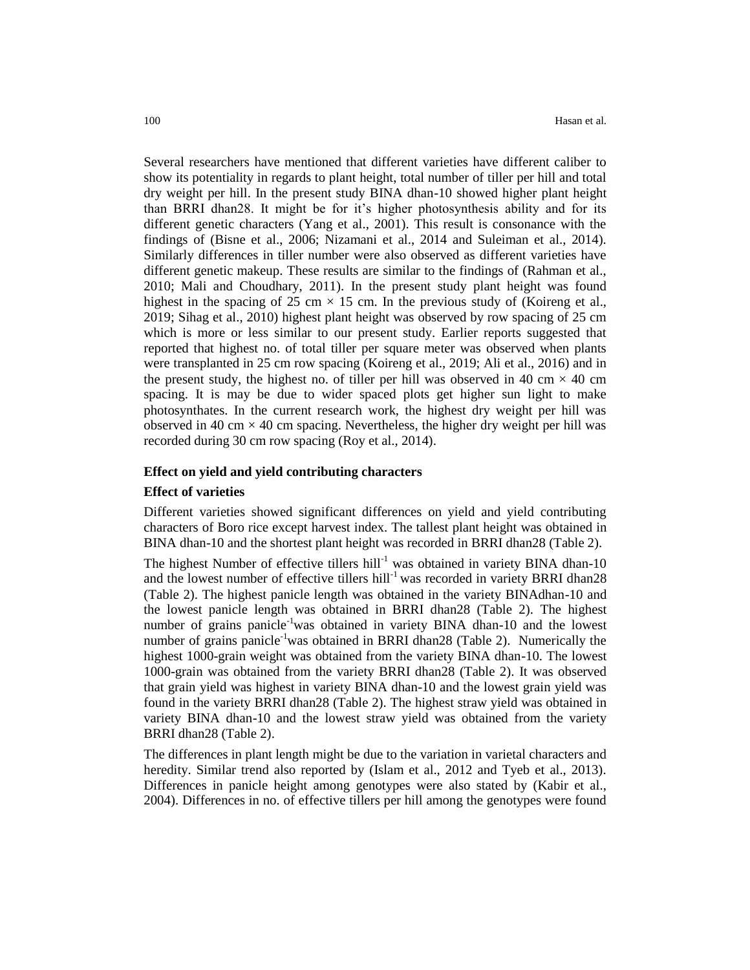Several researchers have mentioned that different varieties have different caliber to show its potentiality in regards to plant height, total number of tiller per hill and total dry weight per hill. In the present study BINA dhan-10 showed higher plant height than BRRI dhan28. It might be for it's higher photosynthesis ability and for its different genetic characters (Yang et al., 2001). This result is consonance with the findings of (Bisne et al., 2006; Nizamani et al., 2014 and Suleiman et al., 2014). Similarly differences in tiller number were also observed as different varieties have different genetic makeup. These results are similar to the findings of (Rahman et al., 2010; Mali and Choudhary, 2011). In the present study plant height was found highest in the spacing of 25 cm  $\times$  15 cm. In the previous study of (Koireng et al., 2019; Sihag et al., 2010) highest plant height was observed by row spacing of 25 cm which is more or less similar to our present study. Earlier reports suggested that reported that highest no. of total tiller per square meter was observed when plants were transplanted in 25 cm row spacing (Koireng et al., 2019; Ali et al., 2016) and in the present study, the highest no. of tiller per hill was observed in 40 cm  $\times$  40 cm spacing. It is may be due to wider spaced plots get higher sun light to make photosynthates. In the current research work, the highest dry weight per hill was observed in 40 cm  $\times$  40 cm spacing. Nevertheless, the higher dry weight per hill was recorded during 30 cm row spacing (Roy et al., 2014).

#### **Effect on yield and yield contributing characters**

#### **Effect of varieties**

Different varieties showed significant differences on yield and yield contributing characters of Boro rice except harvest index. The tallest plant height was obtained in BINA dhan-10 and the shortest plant height was recorded in BRRI dhan28 (Table 2).

The highest Number of effective tillers hill<sup>-1</sup> was obtained in variety BINA dhan-10 and the lowest number of effective tillers hill<sup>-1</sup> was recorded in variety BRRI dhan28 (Table 2). The highest panicle length was obtained in the variety BINAdhan-10 and the lowest panicle length was obtained in BRRI dhan28 (Table 2). The highest number of grains panicle<sup>-1</sup>was obtained in variety BINA dhan-10 and the lowest number of grains panicle<sup>-1</sup>was obtained in BRRI dhan28 (Table 2). Numerically the highest 1000-grain weight was obtained from the variety BINA dhan-10. The lowest 1000-grain was obtained from the variety BRRI dhan28 (Table 2). It was observed that grain yield was highest in variety BINA dhan-10 and the lowest grain yield was found in the variety BRRI dhan28 (Table 2). The highest straw yield was obtained in variety BINA dhan-10 and the lowest straw yield was obtained from the variety BRRI dhan28 (Table 2).

The differences in plant length might be due to the variation in varietal characters and heredity. Similar trend also reported by (Islam et al., 2012 and Tyeb et al., 2013). Differences in panicle height among genotypes were also stated by (Kabir et al., 2004). Differences in no. of effective tillers per hill among the genotypes were found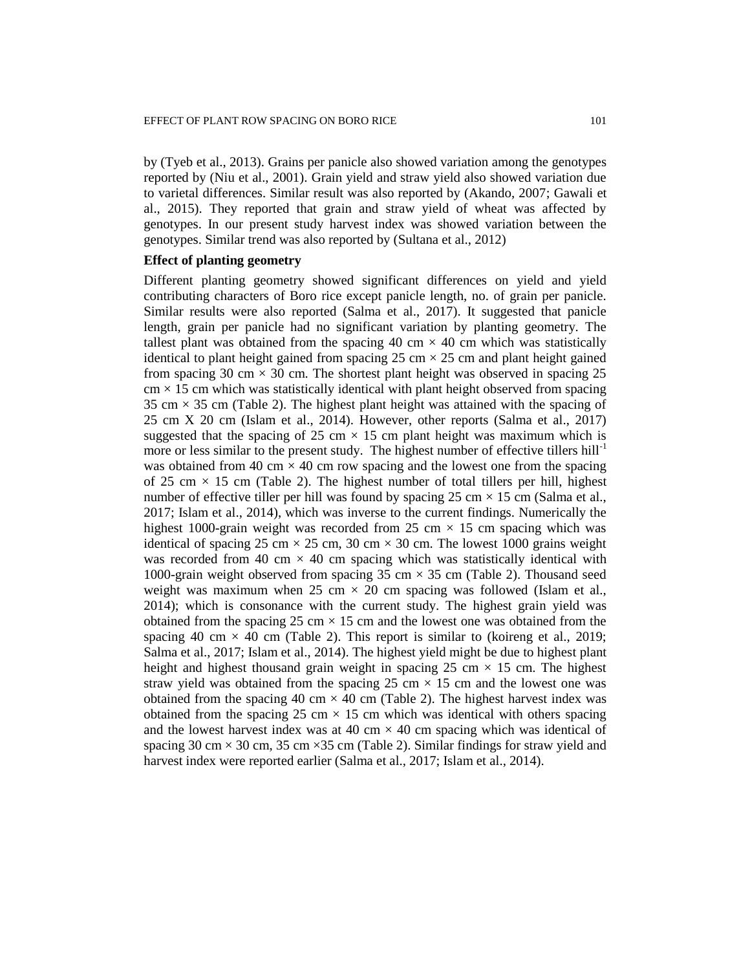by (Tyeb et al., 2013). Grains per panicle also showed variation among the genotypes reported by (Niu et al., 2001). Grain yield and straw yield also showed variation due to varietal differences. Similar result was also reported by (Akando, 2007; Gawali et al., 2015). They reported that grain and straw yield of wheat was affected by genotypes. In our present study harvest index was showed variation between the genotypes. Similar trend was also reported by (Sultana et al., 2012)

# **Effect of planting geometry**

Different planting geometry showed significant differences on yield and yield contributing characters of Boro rice except panicle length, no. of grain per panicle. Similar results were also reported (Salma et al., 2017). It suggested that panicle length, grain per panicle had no significant variation by planting geometry. The tallest plant was obtained from the spacing 40 cm  $\times$  40 cm which was statistically identical to plant height gained from spacing  $25 \text{ cm} \times 25 \text{ cm}$  and plant height gained from spacing 30 cm  $\times$  30 cm. The shortest plant height was observed in spacing 25  $\text{cm} \times 15 \text{ cm}$  which was statistically identical with plant height observed from spacing 35 cm  $\times$  35 cm (Table 2). The highest plant height was attained with the spacing of 25 cm X 20 cm (Islam et al., 2014). However, other reports (Salma et al., 2017) suggested that the spacing of 25 cm  $\times$  15 cm plant height was maximum which is more or less similar to the present study. The highest number of effective tillers  $\text{hill}^{-1}$ was obtained from 40 cm  $\times$  40 cm row spacing and the lowest one from the spacing of 25 cm  $\times$  15 cm (Table 2). The highest number of total tillers per hill, highest number of effective tiller per hill was found by spacing  $25 \text{ cm} \times 15 \text{ cm}$  (Salma et al., 2017; Islam et al., 2014), which was inverse to the current findings. Numerically the highest 1000-grain weight was recorded from 25 cm  $\times$  15 cm spacing which was identical of spacing 25 cm  $\times$  25 cm, 30 cm  $\times$  30 cm. The lowest 1000 grains weight was recorded from 40 cm  $\times$  40 cm spacing which was statistically identical with 1000-grain weight observed from spacing 35 cm  $\times$  35 cm (Table 2). Thousand seed weight was maximum when 25 cm  $\times$  20 cm spacing was followed (Islam et al., 2014); which is consonance with the current study. The highest grain yield was obtained from the spacing 25 cm  $\times$  15 cm and the lowest one was obtained from the spacing 40 cm  $\times$  40 cm (Table 2). This report is similar to (koireng et al., 2019; Salma et al., 2017; Islam et al., 2014). The highest yield might be due to highest plant height and highest thousand grain weight in spacing 25 cm  $\times$  15 cm. The highest straw yield was obtained from the spacing 25 cm  $\times$  15 cm and the lowest one was obtained from the spacing 40 cm  $\times$  40 cm (Table 2). The highest harvest index was obtained from the spacing 25 cm  $\times$  15 cm which was identical with others spacing and the lowest harvest index was at 40 cm  $\times$  40 cm spacing which was identical of spacing 30 cm  $\times$  30 cm, 35 cm  $\times$  35 cm (Table 2). Similar findings for straw yield and harvest index were reported earlier (Salma et al., 2017; Islam et al., 2014).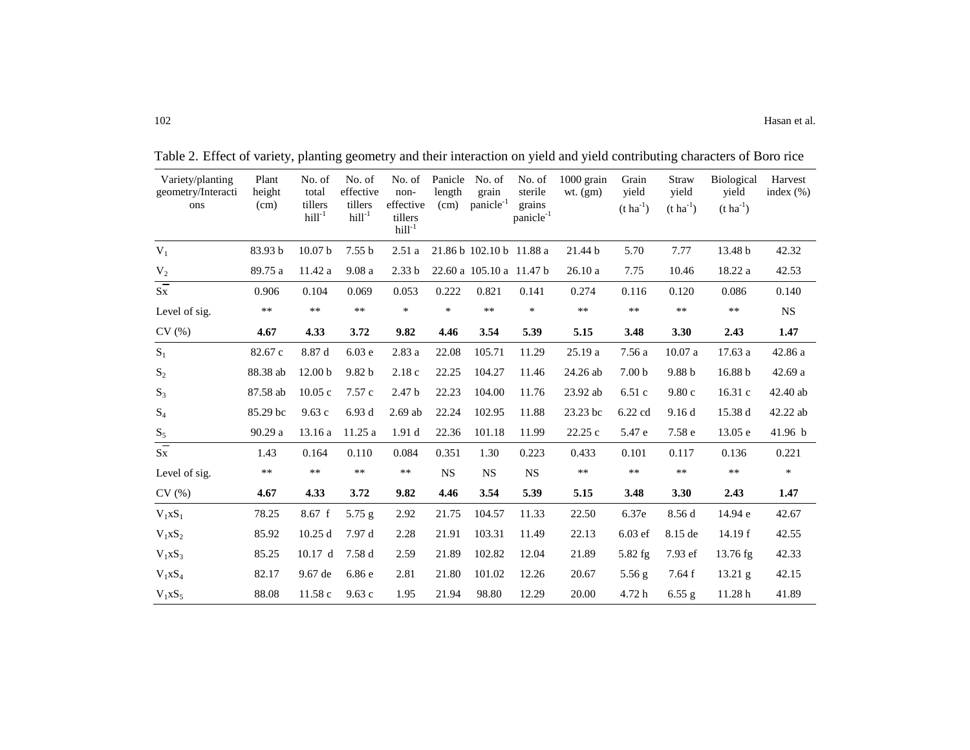| Variety/planting<br>geometry/Interacti<br>ons | Plant<br>height<br>(cm) | No. of<br>total<br>tillers<br>$hill-1$ | No. of<br>effective<br>tillers<br>$hill-1$ | No. of<br>non-<br>effective<br>tillers<br>$hill-1$ | Panicle<br>length<br>(cm) | No. of<br>grain<br>panicle <sup>-1</sup> | No. of<br>sterile<br>grains<br>panicle <sup>-1</sup> | 1000 grain<br>$wt.$ (gm) | Grain<br>vield<br>$(t \, ha^{-1})$ | <b>Straw</b><br>yield<br>$(t \, ha^{-1})$ | <b>Biological</b><br>vield<br>$(t \, ha^{-1})$ | Harvest<br>index $(\% )$ |
|-----------------------------------------------|-------------------------|----------------------------------------|--------------------------------------------|----------------------------------------------------|---------------------------|------------------------------------------|------------------------------------------------------|--------------------------|------------------------------------|-------------------------------------------|------------------------------------------------|--------------------------|
| $\mathbf{V}_1$                                | 83.93 b                 | 10.07 <sub>b</sub>                     | 7.55 <sub>b</sub>                          | 2.51a                                              |                           | 21.86 b 102.10 b 11.88 a                 |                                                      | 21.44 b                  | 5.70                               | 7.77                                      | 13.48 b                                        | 42.32                    |
| $V_2$                                         | 89.75 a                 | 11.42 a                                | 9.08a                                      | 2.33 <sub>b</sub>                                  |                           | 22.60 a 105.10 a 11.47 b                 |                                                      | 26.10a                   | 7.75                               | 10.46                                     | 18.22 a                                        | 42.53                    |
| $\overline{s}$                                | 0.906                   | 0.104                                  | 0.069                                      | 0.053                                              | 0.222                     | 0.821                                    | 0.141                                                | 0.274                    | 0.116                              | 0.120                                     | 0.086                                          | 0.140                    |
| Level of sig.                                 | $\ast\ast$              | $***$                                  | $***$                                      | $\ast$                                             | $\ast$                    | $**$                                     | $\ast$                                               | $***$                    | $\ast\ast$                         | $\ast\ast$                                | $***$                                          | <b>NS</b>                |
| CV(%)                                         | 4.67                    | 4.33                                   | 3.72                                       | 9.82                                               | 4.46                      | 3.54                                     | 5.39                                                 | 5.15                     | 3.48                               | 3.30                                      | 2.43                                           | 1.47                     |
| $S_1$                                         | 82.67 c                 | 8.87 d                                 | 6.03e                                      | 2.83 a                                             | 22.08                     | 105.71                                   | 11.29                                                | 25.19 a                  | 7.56 a                             | 10.07a                                    | 17.63 a                                        | 42.86 a                  |
| $S_2$                                         | 88.38 ab                | 12.00 <sub>b</sub>                     | 9.82 <sub>b</sub>                          | 2.18c                                              | 22.25                     | 104.27                                   | 11.46                                                | 24.26 ab                 | 7.00 <sub>b</sub>                  | 9.88 b                                    | 16.88 b                                        | 42.69 a                  |
| $S_3$                                         | 87.58 ab                | 10.05c                                 | 7.57c                                      | 2.47 <sub>b</sub>                                  | 22.23                     | 104.00                                   | 11.76                                                | 23.92 ab                 | 6.51c                              | 9.80c                                     | 16.31 c                                        | 42.40 ab                 |
| $S_4$                                         | 85.29 bc                | 9.63c                                  | 6.93d                                      | $2.69$ ab                                          | 22.24                     | 102.95                                   | 11.88                                                | 23.23 bc                 | $6.22$ cd                          | 9.16d                                     | 15.38 d                                        | 42.22 ab                 |
| $\mathbf{S}_5$                                | 90.29 a                 | 13.16a                                 | 11.25a                                     | 1.91 <sub>d</sub>                                  | 22.36                     | 101.18                                   | 11.99                                                | 22.25c                   | 5.47 e                             | 7.58 e                                    | 13.05 e                                        | 41.96 b                  |
| $\overline{s}$                                | 1.43                    | 0.164                                  | 0.110                                      | 0.084                                              | 0.351                     | 1.30                                     | 0.223                                                | 0.433                    | 0.101                              | 0.117                                     | 0.136                                          | 0.221                    |
| Level of sig.                                 | $***$                   | $***$                                  | $***$                                      | $***$                                              | <b>NS</b>                 | <b>NS</b>                                | <b>NS</b>                                            | **                       | $***$                              | $\ast\ast$                                | $\ast\ast$                                     | $\ast$                   |
| CV(%)                                         | 4.67                    | 4.33                                   | 3.72                                       | 9.82                                               | 4.46                      | 3.54                                     | 5.39                                                 | 5.15                     | 3.48                               | 3.30                                      | 2.43                                           | 1.47                     |
| $V_1XS_1$                                     | 78.25                   | 8.67 f                                 | $5.75$ g                                   | 2.92                                               | 21.75                     | 104.57                                   | 11.33                                                | 22.50                    | 6.37e                              | 8.56 d                                    | 14.94 e                                        | 42.67                    |
| $V_1xS_2$                                     | 85.92                   | 10.25d                                 | 7.97 d                                     | 2.28                                               | 21.91                     | 103.31                                   | 11.49                                                | 22.13                    | 6.03 ef                            | 8.15 de                                   | 14.19 f                                        | 42.55                    |
| $V_1XS_3$                                     | 85.25                   | 10.17 d                                | 7.58 d                                     | 2.59                                               | 21.89                     | 102.82                                   | 12.04                                                | 21.89                    | $5.82$ fg                          | 7.93 ef                                   | $13.76$ fg                                     | 42.33                    |
| $V_1XS_4$                                     | 82.17                   | 9.67 de                                | 6.86e                                      | 2.81                                               | 21.80                     | 101.02                                   | 12.26                                                | 20.67                    | $5.56$ g                           | 7.64 f                                    | 13.21 g                                        | 42.15                    |
| $V_1xS_5$                                     | 88.08                   | 11.58c                                 | 9.63c                                      | 1.95                                               | 21.94                     | 98.80                                    | 12.29                                                | 20.00                    | 4.72 h                             | 6.55 g                                    | 11.28h                                         | 41.89                    |

Table 2. Effect of variety, planting geometry and their interaction on yield and yield contributing characters of Boro rice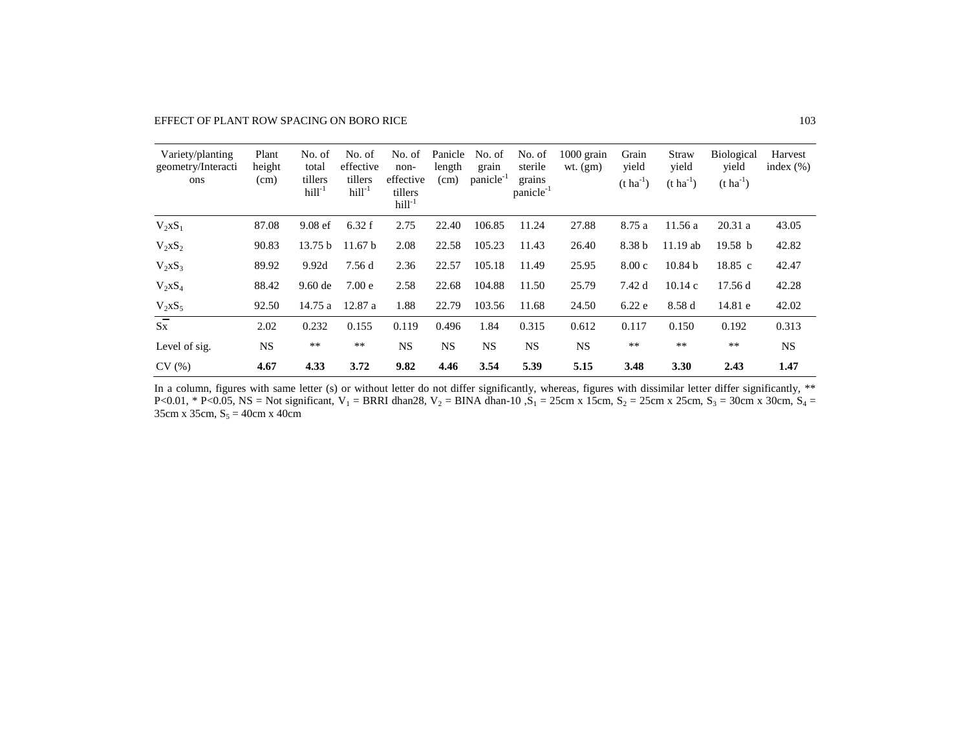EFFECT OF PLANT ROW SPACING ON BORO RICE 103

| Variety/planting<br>geometry/Interacti<br>ons | Plant<br>height<br>(cm) | No. of<br>total<br>tillers<br>$hill-1$ | No. of<br>effective<br>tillers<br>$hill-1$ | No. of<br>non-<br>effective<br>tillers<br>$hill-1$ | Panicle<br>length<br>(cm) | No. of<br>grain<br>panicle <sup>-1</sup> | No. of<br>sterile<br>grains<br>panicle <sup>-1</sup> | $1000$ grain<br>$wt.$ (gm) | Grain<br>vield<br>$(t \, ha^{-1})$ | Straw<br>yield<br>$(t \text{ ha}^{-1})$ | <b>Biological</b><br>vield<br>$(t \, ha^{-1})$ | Harvest<br>index $(\% )$ |
|-----------------------------------------------|-------------------------|----------------------------------------|--------------------------------------------|----------------------------------------------------|---------------------------|------------------------------------------|------------------------------------------------------|----------------------------|------------------------------------|-----------------------------------------|------------------------------------------------|--------------------------|
| $V_2XS_1$                                     | 87.08                   | $9.08$ ef                              | 6.32 f                                     | 2.75                                               | 22.40                     | 106.85                                   | 11.24                                                | 27.88                      | 8.75 a                             | 11.56a                                  | 20.31a                                         | 43.05                    |
| $V_2xS_2$                                     | 90.83                   | 13.75 b                                | 11.67 b                                    | 2.08                                               | 22.58                     | 105.23                                   | 11.43                                                | 26.40                      | 8.38 b                             | $11.19$ ab                              | 19.58 <sub>b</sub>                             | 42.82                    |
| $V_2XS_3$                                     | 89.92                   | 9.92d                                  | 7.56 d                                     | 2.36                                               | 22.57                     | 105.18                                   | 11.49                                                | 25.95                      | 8.00c                              | 10.84 <sub>b</sub>                      | $18.85\;c$                                     | 42.47                    |
| $V_2XS_4$                                     | 88.42                   | $9.60$ de                              | 7.00 <sub>e</sub>                          | 2.58                                               | 22.68                     | 104.88                                   | 11.50                                                | 25.79                      | 7.42 d                             | 10.14c                                  | 17.56 d                                        | 42.28                    |
| $V_2xS_5$                                     | 92.50                   | 14.75a                                 | 12.87 a                                    | 1.88                                               | 22.79                     | 103.56                                   | 11.68                                                | 24.50                      | 6.22e                              | 8.58 d                                  | 14.81 e                                        | 42.02                    |
| $\overline{s}$ x                              | 2.02                    | 0.232                                  | 0.155                                      | 0.119                                              | 0.496                     | 1.84                                     | 0.315                                                | 0.612                      | 0.117                              | 0.150                                   | 0.192                                          | 0.313                    |
| Level of sig.                                 | <b>NS</b>               | $**$                                   | $**$                                       | <b>NS</b>                                          | <b>NS</b>                 | <b>NS</b>                                | <b>NS</b>                                            | <b>NS</b>                  | $***$                              | $\ast\ast$                              | $**$                                           | <b>NS</b>                |
| CV(%)                                         | 4.67                    | 4.33                                   | 3.72                                       | 9.82                                               | 4.46                      | 3.54                                     | 5.39                                                 | 5.15                       | 3.48                               | 3.30                                    | 2.43                                           | 1.47                     |

In a column, figures with same letter (s) or without letter do not differ significantly, whereas, figures with dissimilar letter differ significantly, \*\* P<0.01, \* P<0.05, NS = Not significant,  $V_1 = BRRI$  dhan28,  $V_2 = BINA$  dhan-10 , $S_1 = 25cm$  x 15cm,  $S_2 = 25cm$  x 25cm,  $S_3 = 30cm$  x 30cm,  $S_4 =$ 35cm x 35cm,  $S_5 = 40$ cm x 40cm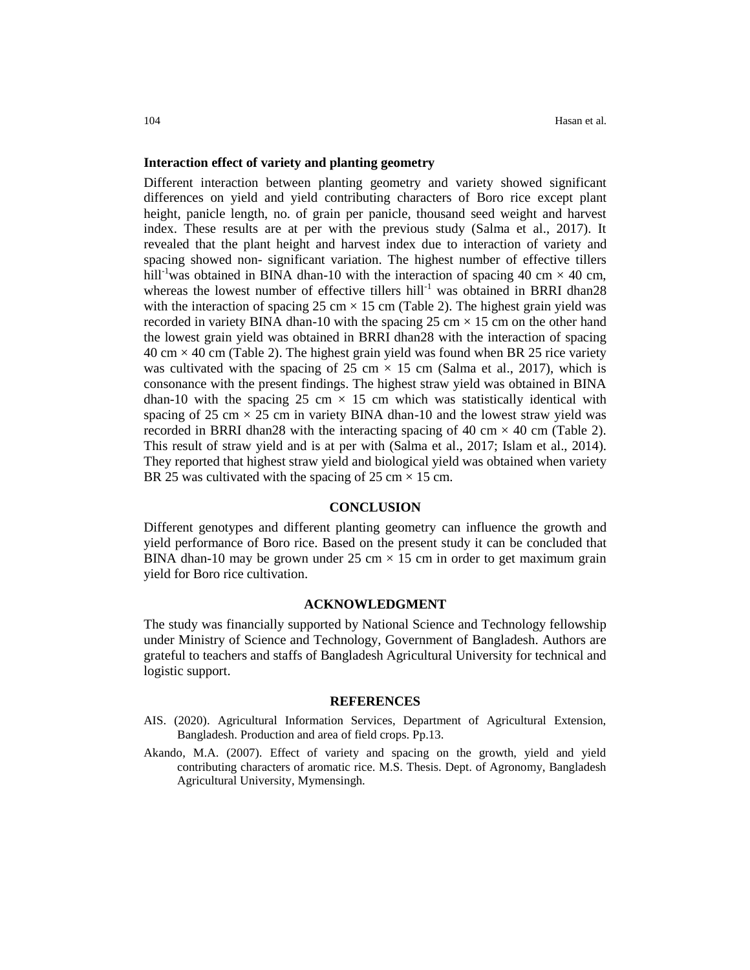#### **Interaction effect of variety and planting geometry**

Different interaction between planting geometry and variety showed significant differences on yield and yield contributing characters of Boro rice except plant height, panicle length, no. of grain per panicle, thousand seed weight and harvest index. These results are at per with the previous study (Salma et al., 2017). It revealed that the plant height and harvest index due to interaction of variety and spacing showed non- significant variation. The highest number of effective tillers hill<sup>-1</sup>was obtained in BINA dhan-10 with the interaction of spacing 40 cm  $\times$  40 cm, whereas the lowest number of effective tillers hill<sup>-1</sup> was obtained in BRRI dhan28 with the interaction of spacing 25 cm  $\times$  15 cm (Table 2). The highest grain yield was recorded in variety BINA dhan-10 with the spacing 25 cm  $\times$  15 cm on the other hand the lowest grain yield was obtained in BRRI dhan28 with the interaction of spacing  $40 \text{ cm} \times 40 \text{ cm}$  (Table 2). The highest grain yield was found when BR 25 rice variety was cultivated with the spacing of 25 cm  $\times$  15 cm (Salma et al., 2017), which is consonance with the present findings. The highest straw yield was obtained in BINA dhan-10 with the spacing 25 cm  $\times$  15 cm which was statistically identical with spacing of 25 cm  $\times$  25 cm in variety BINA dhan-10 and the lowest straw yield was recorded in BRRI dhan28 with the interacting spacing of 40 cm  $\times$  40 cm (Table 2). This result of straw yield and is at per with (Salma et al., 2017; Islam et al., 2014). They reported that highest straw yield and biological yield was obtained when variety BR 25 was cultivated with the spacing of 25 cm  $\times$  15 cm.

#### **CONCLUSION**

Different genotypes and different planting geometry can influence the growth and yield performance of Boro rice. Based on the present study it can be concluded that BINA dhan-10 may be grown under  $25 \text{ cm} \times 15 \text{ cm}$  in order to get maximum grain yield for Boro rice cultivation.

#### **ACKNOWLEDGMENT**

The study was financially supported by National Science and Technology fellowship under Ministry of Science and Technology, Government of Bangladesh. Authors are grateful to teachers and staffs of Bangladesh Agricultural University for technical and logistic support.

#### **REFERENCES**

- AIS. (2020). Agricultural Information Services, Department of Agricultural Extension, Bangladesh. Production and area of field crops. Pp.13.
- Akando, M.A. (2007). Effect of variety and spacing on the growth, yield and yield contributing characters of aromatic rice. M.S. Thesis. Dept. of Agronomy, Bangladesh Agricultural University, Mymensingh.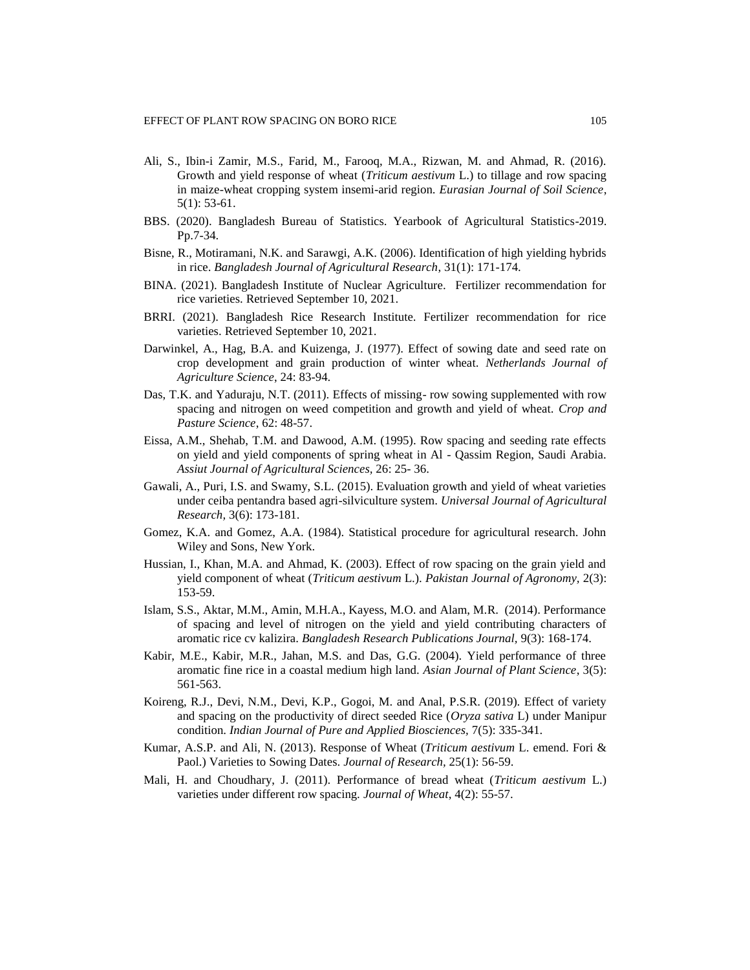- Ali, S., Ibin-i Zamir, M.S., Farid, M., Farooq, M.A., Rizwan, M. and Ahmad, R. (2016). Growth and yield response of wheat (*Triticum aestivum* L.) to tillage and row spacing in maize-wheat cropping system insemi-arid region. *Eurasian Journal of Soil Science*, 5(1): 53-61.
- BBS. (2020). Bangladesh Bureau of Statistics. Yearbook of Agricultural Statistics-2019. Pp.7-34.
- Bisne, R., Motiramani, N.K. and Sarawgi, A.K. (2006). Identification of high yielding hybrids in rice. *Bangladesh Journal of Agricultural Research*, 31(1): 171-174.
- BINA. (2021). Bangladesh Institute of Nuclear Agriculture. Fertilizer recommendation for rice varieties. Retrieved September 10, 2021.
- BRRI. (2021). Bangladesh Rice Research Institute. Fertilizer recommendation for rice varieties. Retrieved September 10, 2021.
- Darwinkel, A., Hag, B.A. and Kuizenga, J. (1977). Effect of sowing date and seed rate on crop development and grain production of winter wheat. *Netherlands Journal of Agriculture Science*, 24: 83-94.
- Das, T.K. and Yaduraju, N.T. (2011). Effects of missing- row sowing supplemented with row spacing and nitrogen on weed competition and growth and yield of wheat. *Crop and Pasture Science*, 62: 48-57.
- Eissa, A.M., Shehab, T.M. and Dawood, A.M. (1995). Row spacing and seeding rate effects on yield and yield components of spring wheat in Al - Qassim Region, Saudi Arabia. *[Assiut Journal of Agricultural Sciences,](https://ajas.journals.ekb.eg/)* 26: 25- 36.
- Gawali, A., Puri, I.S. and Swamy, S.L. (2015). Evaluation growth and yield of wheat varieties under ceiba pentandra based agri-silviculture system. *Universal Journal of Agricultural Research,* 3(6): 173-181.
- Gomez, K.A. and Gomez, A.A. (1984). Statistical procedure for agricultural research. John Wiley and Sons, New York.
- Hussian, I., Khan, M.A. and Ahmad, K. (2003). Effect of row spacing on the grain yield and yield component of wheat (*Triticum aestivum* L.). *Pakistan Journal of Agronomy,* 2(3): 153-59.
- Islam, S.S., Aktar, M.M., Amin, M.H.A., Kayess, M.O. and Alam, M.R. (2014). Performance of spacing and level of nitrogen on the yield and yield contributing characters of aromatic rice cv kalizira. *Bangladesh Research Publications Journal,* 9(3): 168-174.
- Kabir, M.E., Kabir, M.R., Jahan, M.S. and Das, G.G. (2004). Yield performance of three aromatic fine rice in a coastal medium high land. *Asian Journal of Plant Science*, 3(5): 561-563.
- Koireng, R.J., Devi, N.M., Devi, K.P., Gogoi, M. and Anal, P.S.R. (2019). Effect of variety and spacing on the productivity of direct seeded Rice (*Oryza sativa* L) under Manipur condition. *Indian Journal of Pure and Applied Biosciences,* 7(5): 335-341.
- Kumar, A.S.P. and Ali, N. (2013). Response of Wheat (*Triticum aestivum* L. emend. Fori & Paol.) Varieties to Sowing Dates. *Journal of Research,* 25(1): 56-59.
- Mali, H. and Choudhary, J. (2011). Performance of bread wheat (*Triticum aestivum* L.) varieties under different row spacing. *Journal of Wheat*, 4(2): 55-57.